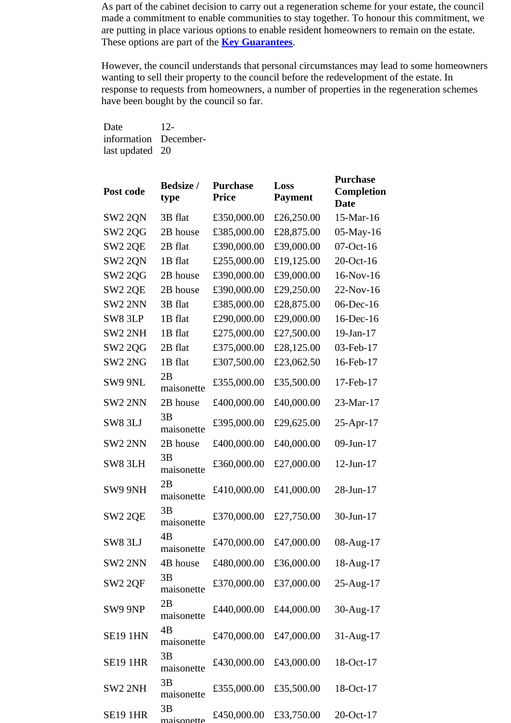As part of the cabinet decision to carry out a regeneration scheme for your estate, the council made a commitment to enable communities to stay together. To honour this commitment, we are putting in place various options to enable resident homeowners to remain on the estate. These options are part of the **[Key Guarantees](http://estateregeneration.lambeth.gov.uk/key_guarantees)**.

However, the council understands that personal circumstances may lead to some homeowners wanting to sell their property to the council before the redevelopment of the estate. In response to requests from homeowners, a number of properties in the regeneration schemes have been bought by the council so far.

Date information Decemberlast updated 20 12-

| Post code           | <b>Bedsize</b> /<br>type | <b>Purchase</b><br><b>Price</b> | Loss<br><b>Payment</b> | <b>Purchase</b><br>Completion<br><b>Date</b> |
|---------------------|--------------------------|---------------------------------|------------------------|----------------------------------------------|
| SW <sub>2</sub> 2QN | 3B flat                  | £350,000.00                     | £26,250.00             | 15-Mar-16                                    |
| <b>SW2 2QG</b>      | 2B house                 | £385,000.00                     | £28,875.00             | 05-May-16                                    |
| SW <sub>2</sub> 2QE | 2B flat                  | £390,000.00                     | £39,000.00             | 07-Oct-16                                    |
| SW2 2QN             | 1B flat                  | £255,000.00                     | £19,125.00             | 20-Oct-16                                    |
| <b>SW2 20G</b>      | 2B house                 | £390,000.00                     | £39,000.00             | 16-Nov-16                                    |
| <b>SW2 2QE</b>      | 2B house                 | £390,000.00                     | £29,250.00             | 22-Nov-16                                    |
| SW2 2NN             | 3B flat                  | £385,000.00                     | £28,875.00             | 06-Dec-16                                    |
| SW8 3LP             | 1B flat                  | £290,000.00                     | £29,000.00             | 16-Dec-16                                    |
| SW2 2NH             | 1B flat                  | £275,000.00                     | £27,500.00             | 19-Jan-17                                    |
| <b>SW2 2QG</b>      | 2B flat                  | £375,000.00                     | £28,125.00             | 03-Feb-17                                    |
| SW2 2NG             | 1B flat                  | £307,500.00                     | £23,062.50             | 16-Feb-17                                    |
| SW9 9NL             | 2B<br>maisonette         | £355,000.00                     | £35,500.00             | 17-Feb-17                                    |
| SW2 2NN             | 2B house                 | £400,000.00                     | £40,000.00             | 23-Mar-17                                    |
| SW8 3LJ             | 3B<br>maisonette         | £395,000.00                     | £29,625.00             | 25-Apr-17                                    |
| SW2 2NN             | 2B house                 | £400,000.00                     | £40,000.00             | 09-Jun-17                                    |
| SW8 3LH             | 3B<br>maisonette         | £360,000.00                     | £27,000.00             | 12-Jun-17                                    |
| SW9 9NH             | 2B<br>maisonette         | £410,000.00                     | £41,000.00             | 28-Jun-17                                    |
| SW2 2QE             | 3B<br>maisonette         | £370,000.00                     | £27,750.00             | 30-Jun-17                                    |
| SW8 3LJ             | 4B<br>maisonette         | £470,000.00                     | £47,000.00             | 08-Aug-17                                    |
| SW2 2NN             | 4B house                 | £480,000.00                     | £36,000.00             | 18-Aug-17                                    |
| SW <sub>2</sub> 2QF | 3B<br>maisonette         | £370,000.00                     | £37,000.00             | 25-Aug-17                                    |
| SW9 9NP             | 2B<br>maisonette         | £440,000.00                     | £44,000.00             | 30-Aug-17                                    |
| <b>SE19 1HN</b>     | 4B<br>maisonette         | £470,000.00                     | £47,000.00             | $31-Aug-17$                                  |
| <b>SE19 1HR</b>     | 3B<br>maisonette         | £430,000.00                     | £43,000.00             | 18-Oct-17                                    |
| SW2 2NH             | 3B<br>maisonette         | £355,000.00                     | £35,500.00             | 18-Oct-17                                    |
| <b>SE19 1HR</b>     | 3B<br>maisonette         | £450,000.00                     | £33,750.00             | 20-Oct-17                                    |